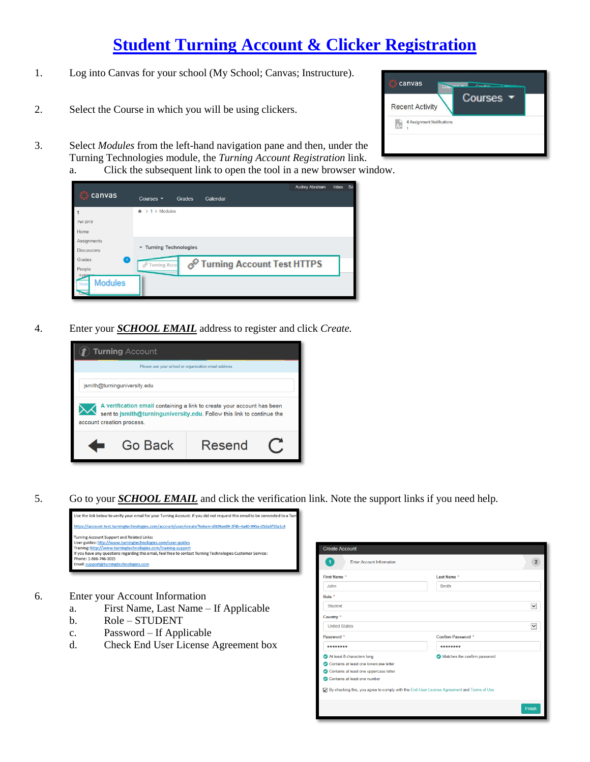# **[Student Turning Account & Clicker Registration](http://www.turningtechnologies.com/videos/training/lms/Canvas-Student-Turning-Account.mp4)**

- 1. Log into Canvas for your school (My School; Canvas; Instructure).
- 2. Select the Course in which you will be using clickers.
- 3. Select *Modules* from the left-hand navigation pane and then, under the Turning Technologies module, the *Turning Account Registration* link.
	- a. Click the subsequent link to open the tool in a new browser window.

|                       | <b>Audrey Abraham</b><br>Inbox                         | <b>Se</b> |
|-----------------------|--------------------------------------------------------|-----------|
| canvas                | Calendar<br>Courses -<br>Grades                        |           |
|                       | > Modules<br>$\mathbf{1}$<br>۰<br>$\rightarrow$        |           |
| Fall 2015             |                                                        |           |
| Home                  |                                                        |           |
| Assignments           |                                                        |           |
| <b>Discussions</b>    | Turning Technologies                                   |           |
| Grades<br>۰           | Turning Account Test HTTPS<br><b>Turning Acco</b><br>d |           |
| People                |                                                        |           |
| <b>Modules</b><br>Mod |                                                        |           |
|                       |                                                        |           |
|                       |                                                        |           |

4. Enter your *SCHOOL EMAIL* address to register and click *Create.*



5. Go to your *SCHOOL EMAIL* and click the verification link. Note the support links if you need help.



- 6. Enter your Account Information
	- a. First Name, Last Name If Applicable
	- b. Role STUDENT
	- c. Password If Applicable
	- d. Check End User License Agreement box

| <b>Create Account</b>                                                                      |                              |                |
|--------------------------------------------------------------------------------------------|------------------------------|----------------|
| $\blacktriangleleft$<br><b>Enter Account Information</b>                                   |                              | $\overline{2}$ |
| First Name *                                                                               | Last Name *                  |                |
| John                                                                                       | Smith                        |                |
| Role *                                                                                     |                              |                |
| Student                                                                                    |                              | Ÿ              |
| Country <sup>*</sup>                                                                       |                              |                |
| <b>United States</b>                                                                       |                              | ◡              |
| Password *                                                                                 | Confirm Password *           |                |
|                                                                                            |                              |                |
| At least 8 characters long                                                                 | Matches the confirm password |                |
| Contains at least one lowercase letter                                                     |                              |                |
| Contains at least one uppercase letter                                                     |                              |                |
| Contains at least one number                                                               |                              |                |
| By checking this, you agree to comply with the End-User License Agreement and Terms of Use |                              |                |
|                                                                                            | Finish                       |                |